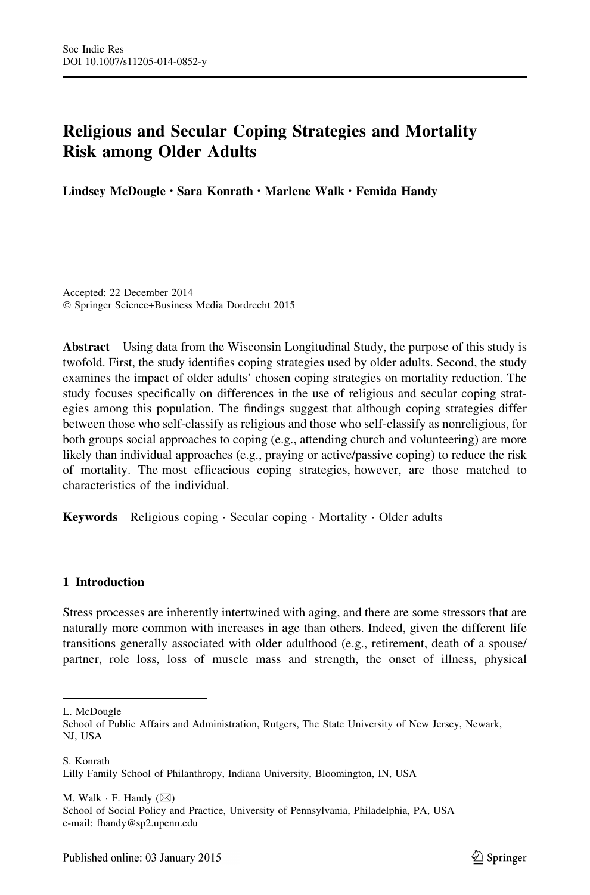# Religious and Secular Coping Strategies and Mortality Risk among Older Adults

Lindsey McDougle • Sara Konrath • Marlene Walk • Femida Handy

Accepted: 22 December 2014 - Springer Science+Business Media Dordrecht 2015

Abstract Using data from the Wisconsin Longitudinal Study, the purpose of this study is twofold. First, the study identifies coping strategies used by older adults. Second, the study examines the impact of older adults' chosen coping strategies on mortality reduction. The study focuses specifically on differences in the use of religious and secular coping strategies among this population. The findings suggest that although coping strategies differ between those who self-classify as religious and those who self-classify as nonreligious, for both groups social approaches to coping (e.g., attending church and volunteering) are more likely than individual approaches (e.g., praying or active/passive coping) to reduce the risk of mortality. The most efficacious coping strategies, however, are those matched to characteristics of the individual.

Keywords Religious coping · Secular coping · Mortality · Older adults

# 1 Introduction

Stress processes are inherently intertwined with aging, and there are some stressors that are naturally more common with increases in age than others. Indeed, given the different life transitions generally associated with older adulthood (e.g., retirement, death of a spouse/ partner, role loss, loss of muscle mass and strength, the onset of illness, physical

L. McDougle

S. Konrath Lilly Family School of Philanthropy, Indiana University, Bloomington, IN, USA

M. Walk  $\cdot$  F. Handy ( $\boxtimes$ ) School of Social Policy and Practice, University of Pennsylvania, Philadelphia, PA, USA e-mail: fhandy@sp2.upenn.edu

School of Public Affairs and Administration, Rutgers, The State University of New Jersey, Newark, NJ, USA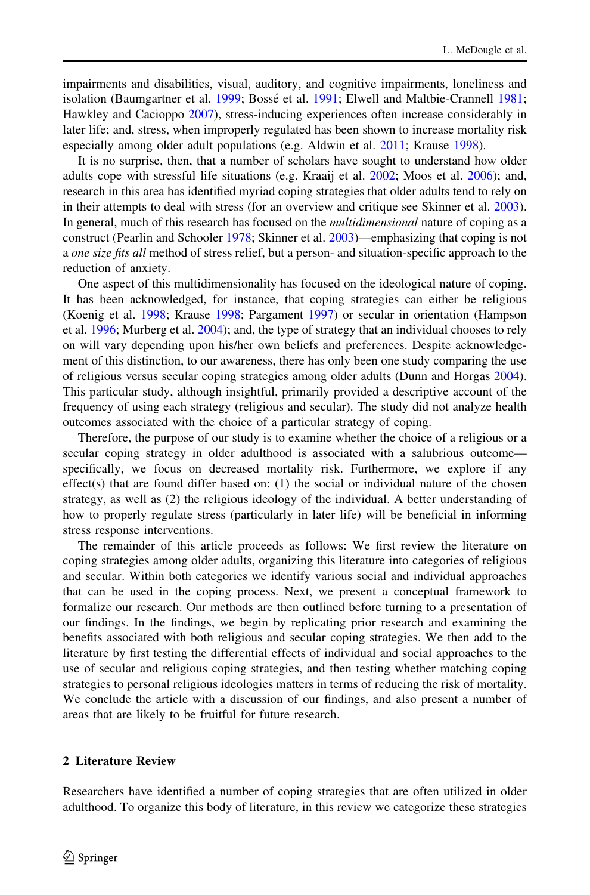impairments and disabilities, visual, auditory, and cognitive impairments, loneliness and isolation (Baumgartner et al. [1999;](#page-15-0) Bossé et al. [1991](#page-16-0); Elwell and Maltbie-Crannell [1981;](#page-16-0) Hawkley and Cacioppo [2007](#page-16-0)), stress-inducing experiences often increase considerably in later life; and, stress, when improperly regulated has been shown to increase mortality risk especially among older adult populations (e.g. Aldwin et al. [2011](#page-15-0); Krause [1998\)](#page-16-0).

It is no surprise, then, that a number of scholars have sought to understand how older adults cope with stressful life situations (e.g. Kraaij et al. [2002;](#page-16-0) Moos et al. [2006](#page-16-0)); and, research in this area has identified myriad coping strategies that older adults tend to rely on in their attempts to deal with stress (for an overview and critique see Skinner et al. [2003](#page-17-0)). In general, much of this research has focused on the *multidimensional* nature of coping as a construct (Pearlin and Schooler [1978](#page-17-0); Skinner et al. [2003](#page-17-0))—emphasizing that coping is not a one size fits all method of stress relief, but a person- and situation-specific approach to the reduction of anxiety.

One aspect of this multidimensionality has focused on the ideological nature of coping. It has been acknowledged, for instance, that coping strategies can either be religious (Koenig et al. [1998;](#page-16-0) Krause [1998](#page-16-0); Pargament [1997\)](#page-17-0) or secular in orientation (Hampson et al. [1996](#page-16-0); Murberg et al. [2004](#page-17-0)); and, the type of strategy that an individual chooses to rely on will vary depending upon his/her own beliefs and preferences. Despite acknowledgement of this distinction, to our awareness, there has only been one study comparing the use of religious versus secular coping strategies among older adults (Dunn and Horgas [2004](#page-16-0)). This particular study, although insightful, primarily provided a descriptive account of the frequency of using each strategy (religious and secular). The study did not analyze health outcomes associated with the choice of a particular strategy of coping.

Therefore, the purpose of our study is to examine whether the choice of a religious or a secular coping strategy in older adulthood is associated with a salubrious outcome specifically, we focus on decreased mortality risk. Furthermore, we explore if any effect(s) that are found differ based on: (1) the social or individual nature of the chosen strategy, as well as (2) the religious ideology of the individual. A better understanding of how to properly regulate stress (particularly in later life) will be beneficial in informing stress response interventions.

The remainder of this article proceeds as follows: We first review the literature on coping strategies among older adults, organizing this literature into categories of religious and secular. Within both categories we identify various social and individual approaches that can be used in the coping process. Next, we present a conceptual framework to formalize our research. Our methods are then outlined before turning to a presentation of our findings. In the findings, we begin by replicating prior research and examining the benefits associated with both religious and secular coping strategies. We then add to the literature by first testing the differential effects of individual and social approaches to the use of secular and religious coping strategies, and then testing whether matching coping strategies to personal religious ideologies matters in terms of reducing the risk of mortality. We conclude the article with a discussion of our findings, and also present a number of areas that are likely to be fruitful for future research.

#### 2 Literature Review

Researchers have identified a number of coping strategies that are often utilized in older adulthood. To organize this body of literature, in this review we categorize these strategies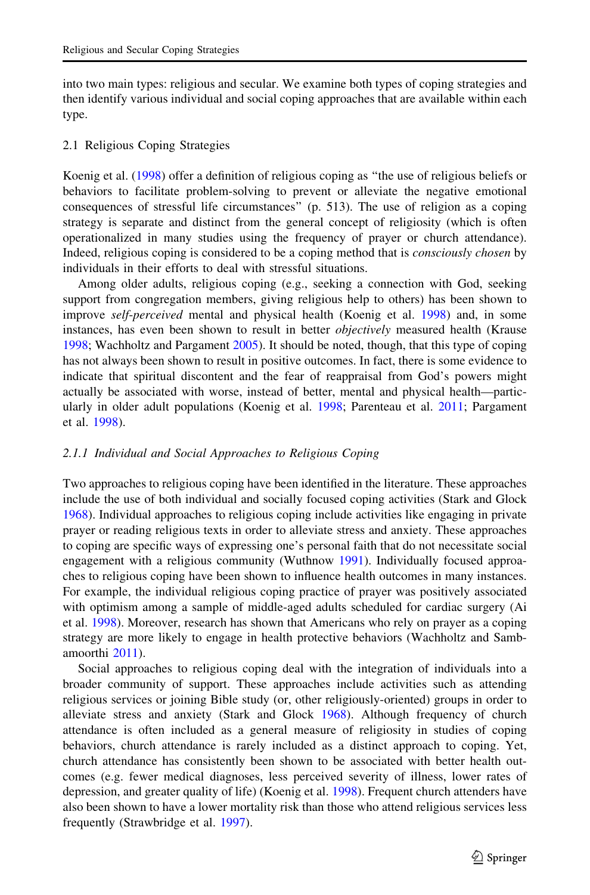into two main types: religious and secular. We examine both types of coping strategies and then identify various individual and social coping approaches that are available within each type.

#### 2.1 Religious Coping Strategies

Koenig et al. [\(1998](#page-16-0)) offer a definition of religious coping as ''the use of religious beliefs or behaviors to facilitate problem-solving to prevent or alleviate the negative emotional consequences of stressful life circumstances'' (p. 513). The use of religion as a coping strategy is separate and distinct from the general concept of religiosity (which is often operationalized in many studies using the frequency of prayer or church attendance). Indeed, religious coping is considered to be a coping method that is consciously chosen by individuals in their efforts to deal with stressful situations.

Among older adults, religious coping (e.g., seeking a connection with God, seeking support from congregation members, giving religious help to others) has been shown to improve self-perceived mental and physical health (Koenig et al. [1998\)](#page-16-0) and, in some instances, has even been shown to result in better *objectively* measured health (Krause [1998;](#page-16-0) Wachholtz and Pargament [2005\)](#page-17-0). It should be noted, though, that this type of coping has not always been shown to result in positive outcomes. In fact, there is some evidence to indicate that spiritual discontent and the fear of reappraisal from God's powers might actually be associated with worse, instead of better, mental and physical health—particularly in older adult populations (Koenig et al. [1998](#page-16-0); Parenteau et al. [2011;](#page-17-0) Pargament et al. [1998](#page-17-0)).

# 2.1.1 Individual and Social Approaches to Religious Coping

Two approaches to religious coping have been identified in the literature. These approaches include the use of both individual and socially focused coping activities (Stark and Glock [1968\)](#page-17-0). Individual approaches to religious coping include activities like engaging in private prayer or reading religious texts in order to alleviate stress and anxiety. These approaches to coping are specific ways of expressing one's personal faith that do not necessitate social engagement with a religious community (Wuthnow [1991](#page-17-0)). Individually focused approaches to religious coping have been shown to influence health outcomes in many instances. For example, the individual religious coping practice of prayer was positively associated with optimism among a sample of middle-aged adults scheduled for cardiac surgery (Ai et al. [1998](#page-15-0)). Moreover, research has shown that Americans who rely on prayer as a coping strategy are more likely to engage in health protective behaviors (Wachholtz and Sambamoorthi [2011](#page-17-0)).

Social approaches to religious coping deal with the integration of individuals into a broader community of support. These approaches include activities such as attending religious services or joining Bible study (or, other religiously-oriented) groups in order to alleviate stress and anxiety (Stark and Glock [1968](#page-17-0)). Although frequency of church attendance is often included as a general measure of religiosity in studies of coping behaviors, church attendance is rarely included as a distinct approach to coping. Yet, church attendance has consistently been shown to be associated with better health outcomes (e.g. fewer medical diagnoses, less perceived severity of illness, lower rates of depression, and greater quality of life) (Koenig et al. [1998](#page-16-0)). Frequent church attenders have also been shown to have a lower mortality risk than those who attend religious services less frequently (Strawbridge et al. [1997\)](#page-17-0).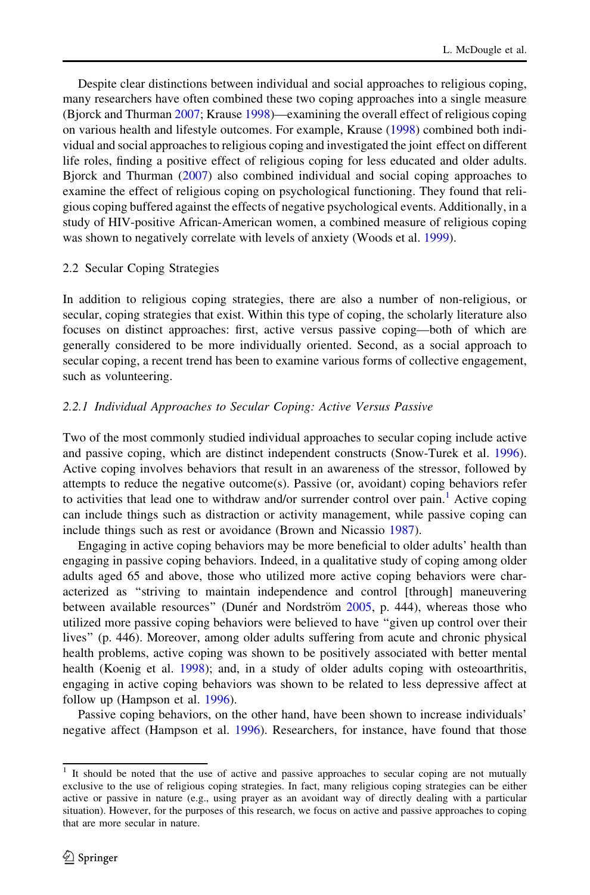Despite clear distinctions between individual and social approaches to religious coping, many researchers have often combined these two coping approaches into a single measure (Bjorck and Thurman [2007](#page-15-0); Krause [1998](#page-16-0))—examining the overall effect of religious coping on various health and lifestyle outcomes. For example, Krause ([1998\)](#page-16-0) combined both individual and social approaches to religious coping and investigated the joint effect on different life roles, finding a positive effect of religious coping for less educated and older adults. Bjorck and Thurman [\(2007\)](#page-15-0) also combined individual and social coping approaches to examine the effect of religious coping on psychological functioning. They found that religious coping buffered against the effects of negative psychological events. Additionally, in a study of HIV-positive African-American women, a combined measure of religious coping was shown to negatively correlate with levels of anxiety (Woods et al. [1999\)](#page-17-0).

#### 2.2 Secular Coping Strategies

In addition to religious coping strategies, there are also a number of non-religious, or secular, coping strategies that exist. Within this type of coping, the scholarly literature also focuses on distinct approaches: first, active versus passive coping—both of which are generally considered to be more individually oriented. Second, as a social approach to secular coping, a recent trend has been to examine various forms of collective engagement, such as volunteering.

# 2.2.1 Individual Approaches to Secular Coping: Active Versus Passive

Two of the most commonly studied individual approaches to secular coping include active and passive coping, which are distinct independent constructs (Snow-Turek et al. [1996](#page-17-0)). Active coping involves behaviors that result in an awareness of the stressor, followed by attempts to reduce the negative outcome(s). Passive (or, avoidant) coping behaviors refer to activities that lead one to withdraw and/or surrender control over pain.<sup>1</sup> Active coping can include things such as distraction or activity management, while passive coping can include things such as rest or avoidance (Brown and Nicassio [1987\)](#page-16-0).

Engaging in active coping behaviors may be more beneficial to older adults' health than engaging in passive coping behaviors. Indeed, in a qualitative study of coping among older adults aged 65 and above, those who utilized more active coping behaviors were characterized as ''striving to maintain independence and control [through] maneuvering between available resources" (Dunér and Nordström [2005](#page-16-0), p. 444), whereas those who utilized more passive coping behaviors were believed to have ''given up control over their lives'' (p. 446). Moreover, among older adults suffering from acute and chronic physical health problems, active coping was shown to be positively associated with better mental health (Koenig et al. [1998\)](#page-16-0); and, in a study of older adults coping with osteoarthritis, engaging in active coping behaviors was shown to be related to less depressive affect at follow up (Hampson et al. [1996](#page-16-0)).

Passive coping behaviors, on the other hand, have been shown to increase individuals' negative affect (Hampson et al. [1996\)](#page-16-0). Researchers, for instance, have found that those

<sup>&</sup>lt;sup>1</sup> It should be noted that the use of active and passive approaches to secular coping are not mutually exclusive to the use of religious coping strategies. In fact, many religious coping strategies can be either active or passive in nature (e.g., using prayer as an avoidant way of directly dealing with a particular situation). However, for the purposes of this research, we focus on active and passive approaches to coping that are more secular in nature.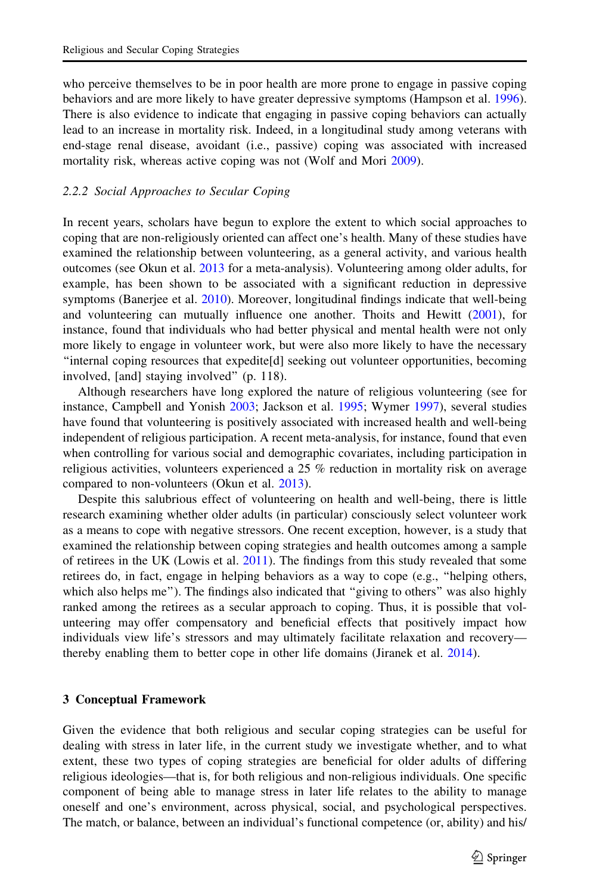who perceive themselves to be in poor health are more prone to engage in passive coping behaviors and are more likely to have greater depressive symptoms (Hampson et al. [1996](#page-16-0)). There is also evidence to indicate that engaging in passive coping behaviors can actually lead to an increase in mortality risk. Indeed, in a longitudinal study among veterans with end-stage renal disease, avoidant (i.e., passive) coping was associated with increased mortality risk, whereas active coping was not (Wolf and Mori [2009](#page-17-0)).

#### 2.2.2 Social Approaches to Secular Coping

In recent years, scholars have begun to explore the extent to which social approaches to coping that are non-religiously oriented can affect one's health. Many of these studies have examined the relationship between volunteering, as a general activity, and various health outcomes (see Okun et al. [2013](#page-17-0) for a meta-analysis). Volunteering among older adults, for example, has been shown to be associated with a significant reduction in depressive symptoms (Banerjee et al. [2010](#page-15-0)). Moreover, longitudinal findings indicate that well-being and volunteering can mutually influence one another. Thoits and Hewitt [\(2001\)](#page-17-0), for instance, found that individuals who had better physical and mental health were not only more likely to engage in volunteer work, but were also more likely to have the necessary ''internal coping resources that expedite[d] seeking out volunteer opportunities, becoming involved, [and] staying involved'' (p. 118).

Although researchers have long explored the nature of religious volunteering (see for instance, Campbell and Yonish [2003](#page-16-0); Jackson et al. [1995;](#page-16-0) Wymer [1997](#page-17-0)), several studies have found that volunteering is positively associated with increased health and well-being independent of religious participation. A recent meta-analysis, for instance, found that even when controlling for various social and demographic covariates, including participation in religious activities, volunteers experienced a 25 % reduction in mortality risk on average compared to non-volunteers (Okun et al. [2013\)](#page-17-0).

Despite this salubrious effect of volunteering on health and well-being, there is little research examining whether older adults (in particular) consciously select volunteer work as a means to cope with negative stressors. One recent exception, however, is a study that examined the relationship between coping strategies and health outcomes among a sample of retirees in the UK (Lowis et al. [2011\)](#page-16-0). The findings from this study revealed that some retirees do, in fact, engage in helping behaviors as a way to cope (e.g., ''helping others, which also helps me"). The findings also indicated that "giving to others" was also highly ranked among the retirees as a secular approach to coping. Thus, it is possible that volunteering may offer compensatory and beneficial effects that positively impact how individuals view life's stressors and may ultimately facilitate relaxation and recovery thereby enabling them to better cope in other life domains (Jiranek et al. [2014](#page-16-0)).

#### 3 Conceptual Framework

Given the evidence that both religious and secular coping strategies can be useful for dealing with stress in later life, in the current study we investigate whether, and to what extent, these two types of coping strategies are beneficial for older adults of differing religious ideologies—that is, for both religious and non-religious individuals. One specific component of being able to manage stress in later life relates to the ability to manage oneself and one's environment, across physical, social, and psychological perspectives. The match, or balance, between an individual's functional competence (or, ability) and his/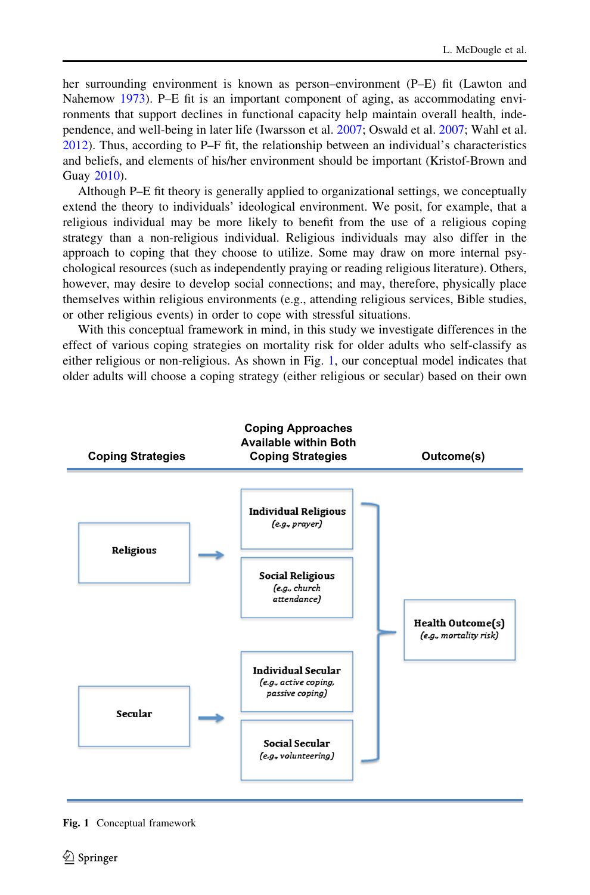<span id="page-5-0"></span>her surrounding environment is known as person–environment (P–E) fit (Lawton and Nahemow [1973](#page-16-0)). P–E fit is an important component of aging, as accommodating environments that support declines in functional capacity help maintain overall health, independence, and well-being in later life (Iwarsson et al. [2007;](#page-16-0) Oswald et al. [2007](#page-17-0); Wahl et al. [2012\)](#page-17-0). Thus, according to P–F fit, the relationship between an individual's characteristics and beliefs, and elements of his/her environment should be important (Kristof-Brown and Guay [2010](#page-16-0)).

Although P–E fit theory is generally applied to organizational settings, we conceptually extend the theory to individuals' ideological environment. We posit, for example, that a religious individual may be more likely to benefit from the use of a religious coping strategy than a non-religious individual. Religious individuals may also differ in the approach to coping that they choose to utilize. Some may draw on more internal psychological resources (such as independently praying or reading religious literature). Others, however, may desire to develop social connections; and may, therefore, physically place themselves within religious environments (e.g., attending religious services, Bible studies, or other religious events) in order to cope with stressful situations.

With this conceptual framework in mind, in this study we investigate differences in the effect of various coping strategies on mortality risk for older adults who self-classify as either religious or non-religious. As shown in Fig. 1, our conceptual model indicates that older adults will choose a coping strategy (either religious or secular) based on their own



Fig. 1 Conceptual framework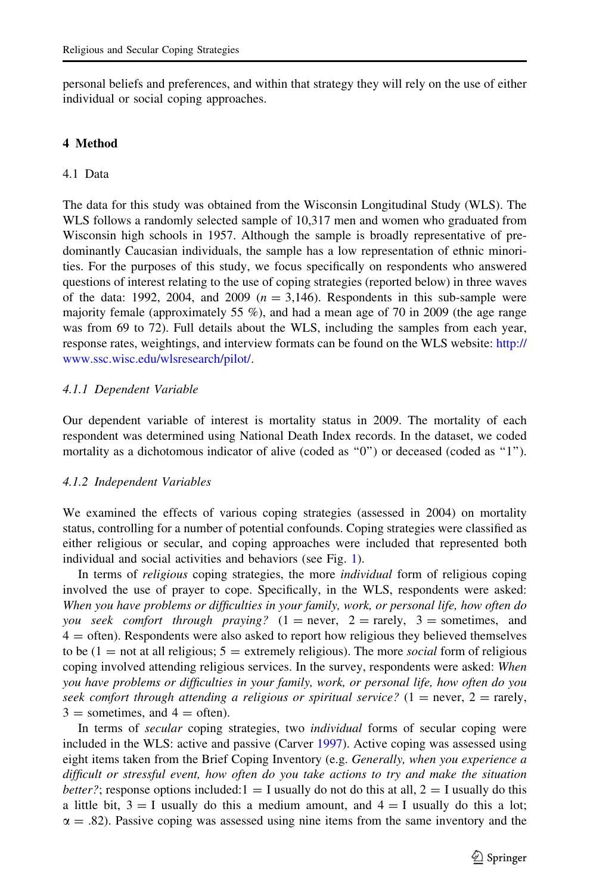personal beliefs and preferences, and within that strategy they will rely on the use of either individual or social coping approaches.

## 4 Method

#### 4.1 Data

The data for this study was obtained from the Wisconsin Longitudinal Study (WLS). The WLS follows a randomly selected sample of 10,317 men and women who graduated from Wisconsin high schools in 1957. Although the sample is broadly representative of predominantly Caucasian individuals, the sample has a low representation of ethnic minorities. For the purposes of this study, we focus specifically on respondents who answered questions of interest relating to the use of coping strategies (reported below) in three waves of the data: 1992, 2004, and 2009 ( $n = 3,146$ ). Respondents in this sub-sample were majority female (approximately 55 %), and had a mean age of 70 in 2009 (the age range was from 69 to 72). Full details about the WLS, including the samples from each year, response rates, weightings, and interview formats can be found on the WLS website: [http://](http://www.ssc.wisc.edu/wlsresearch/pilot/) [www.ssc.wisc.edu/wlsresearch/pilot/.](http://www.ssc.wisc.edu/wlsresearch/pilot/)

# 4.1.1 Dependent Variable

Our dependent variable of interest is mortality status in 2009. The mortality of each respondent was determined using National Death Index records. In the dataset, we coded mortality as a dichotomous indicator of alive (coded as "0") or deceased (coded as "1").

#### 4.1.2 Independent Variables

We examined the effects of various coping strategies (assessed in 2004) on mortality status, controlling for a number of potential confounds. Coping strategies were classified as either religious or secular, and coping approaches were included that represented both individual and social activities and behaviors (see Fig. [1](#page-5-0)).

In terms of religious coping strategies, the more individual form of religious coping involved the use of prayer to cope. Specifically, in the WLS, respondents were asked: When you have problems or difficulties in your family, work, or personal life, how often do you seek comfort through praying?  $(1 = never, 2 = rarely, 3 = sometimes, and)$ 4 = often). Respondents were also asked to report how religious they believed themselves to be  $(1 = not at all religious; 5 = extremely religious)$ . The more *social* form of religious coping involved attending religious services. In the survey, respondents were asked: When you have problems or difficulties in your family, work, or personal life, how often do you seek comfort through attending a religious or spiritual service? ( $1 =$  never,  $2 =$  rarely,  $3 =$  sometimes, and  $4 =$  often).

In terms of *secular* coping strategies, two *individual* forms of secular coping were included in the WLS: active and passive (Carver [1997](#page-16-0)). Active coping was assessed using eight items taken from the Brief Coping Inventory (e.g. Generally, when you experience a difficult or stressful event, how often do you take actions to try and make the situation *better?*; response options included:  $1 = I$  usually do not do this at all,  $2 = I$  usually do this a little bit,  $3 = I$  usually do this a medium amount, and  $4 = I$  usually do this a lot;  $\alpha = .82$ ). Passive coping was assessed using nine items from the same inventory and the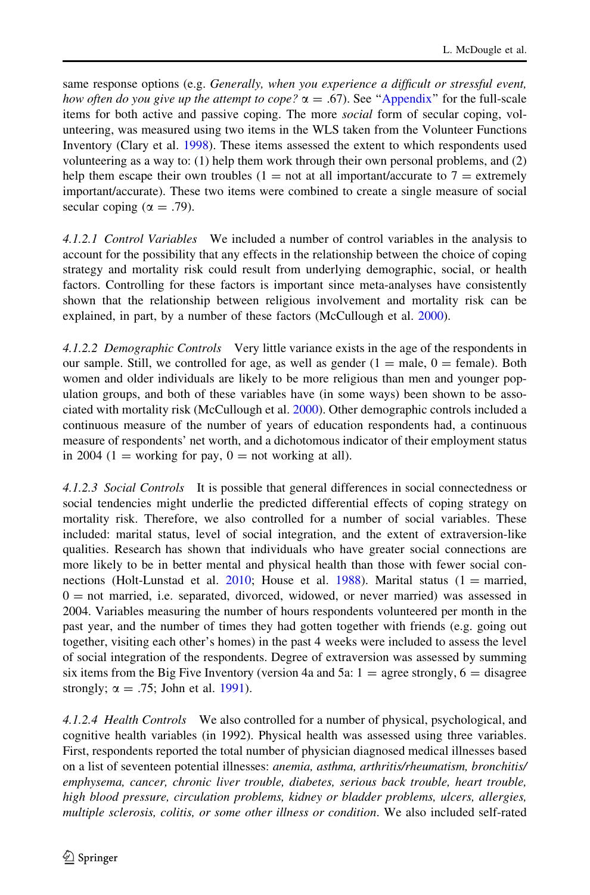same response options (e.g. Generally, when you experience a difficult or stressful event, how often do you give up the attempt to cope?  $\alpha = .67$ ). See "[Appendix](#page-15-0)" for the full-scale items for both active and passive coping. The more social form of secular coping, volunteering, was measured using two items in the WLS taken from the Volunteer Functions Inventory (Clary et al. [1998\)](#page-16-0). These items assessed the extent to which respondents used volunteering as a way to: (1) help them work through their own personal problems, and (2) help them escape their own troubles  $(1 = not at all important/accurate to 7 = extremely$ important/accurate). These two items were combined to create a single measure of social secular coping ( $\alpha = .79$ ).

4.1.2.1 Control Variables We included a number of control variables in the analysis to account for the possibility that any effects in the relationship between the choice of coping strategy and mortality risk could result from underlying demographic, social, or health factors. Controlling for these factors is important since meta-analyses have consistently shown that the relationship between religious involvement and mortality risk can be explained, in part, by a number of these factors (McCullough et al. [2000](#page-16-0)).

4.1.2.2 Demographic Controls Very little variance exists in the age of the respondents in our sample. Still, we controlled for age, as well as gender  $(1 = male, 0 = female)$ . Both women and older individuals are likely to be more religious than men and younger population groups, and both of these variables have (in some ways) been shown to be associated with mortality risk (McCullough et al. [2000](#page-16-0)). Other demographic controls included a continuous measure of the number of years of education respondents had, a continuous measure of respondents' net worth, and a dichotomous indicator of their employment status in 2004 (1 = working for pay,  $0 =$  not working at all).

4.1.2.3 Social Controls It is possible that general differences in social connectedness or social tendencies might underlie the predicted differential effects of coping strategy on mortality risk. Therefore, we also controlled for a number of social variables. These included: marital status, level of social integration, and the extent of extraversion-like qualities. Research has shown that individuals who have greater social connections are more likely to be in better mental and physical health than those with fewer social con-nections (Holt-Lunstad et al. [2010](#page-16-0); House et al. [1988](#page-16-0)). Marital status ( $1 =$  married,  $0 =$  not married, i.e. separated, divorced, widowed, or never married) was assessed in 2004. Variables measuring the number of hours respondents volunteered per month in the past year, and the number of times they had gotten together with friends (e.g. going out together, visiting each other's homes) in the past 4 weeks were included to assess the level of social integration of the respondents. Degree of extraversion was assessed by summing six items from the Big Five Inventory (version 4a and 5a:  $1 =$  agree strongly,  $6 =$  disagree strongly;  $\alpha = .75$ ; John et al. [1991](#page-16-0)).

4.1.2.4 Health Controls We also controlled for a number of physical, psychological, and cognitive health variables (in 1992). Physical health was assessed using three variables. First, respondents reported the total number of physician diagnosed medical illnesses based on a list of seventeen potential illnesses: anemia, asthma, arthritis/rheumatism, bronchitis/ emphysema, cancer, chronic liver trouble, diabetes, serious back trouble, heart trouble, high blood pressure, circulation problems, kidney or bladder problems, ulcers, allergies, multiple sclerosis, colitis, or some other illness or condition. We also included self-rated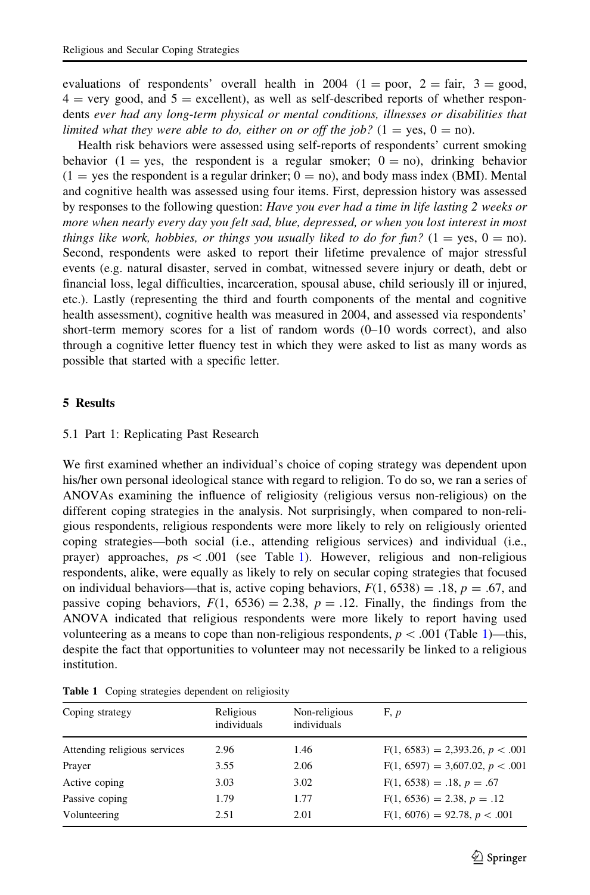<span id="page-8-0"></span>evaluations of respondents' overall health in 2004 (1 = poor, 2 = fair, 3 = good,  $4 =$  very good, and  $5 =$  excellent), as well as self-described reports of whether respondents ever had any long-term physical or mental conditions, illnesses or disabilities that limited what they were able to do, either on or off the job? ( $1 = \text{ves}, 0 = \text{no}$ ).

Health risk behaviors were assessed using self-reports of respondents' current smoking behavior (1 = yes, the respondent is a regular smoker;  $0 = no$ ), drinking behavior  $(1 = y$ es the respondent is a regular drinker;  $0 = no$ ), and body mass index (BMI). Mental and cognitive health was assessed using four items. First, depression history was assessed by responses to the following question: Have you ever had a time in life lasting 2 weeks or more when nearly every day you felt sad, blue, depressed, or when you lost interest in most things like work, hobbies, or things you usually liked to do for fun?  $(1 = yes, 0 = no)$ . Second, respondents were asked to report their lifetime prevalence of major stressful events (e.g. natural disaster, served in combat, witnessed severe injury or death, debt or financial loss, legal difficulties, incarceration, spousal abuse, child seriously ill or injured, etc.). Lastly (representing the third and fourth components of the mental and cognitive health assessment), cognitive health was measured in 2004, and assessed via respondents' short-term memory scores for a list of random words (0–10 words correct), and also through a cognitive letter fluency test in which they were asked to list as many words as possible that started with a specific letter.

## 5 Results

# 5.1 Part 1: Replicating Past Research

We first examined whether an individual's choice of coping strategy was dependent upon his/her own personal ideological stance with regard to religion. To do so, we ran a series of ANOVAs examining the influence of religiosity (religious versus non-religious) on the different coping strategies in the analysis. Not surprisingly, when compared to non-religious respondents, religious respondents were more likely to rely on religiously oriented coping strategies—both social (i.e., attending religious services) and individual (i.e., prayer) approaches,  $ps < .001$  (see Table 1). However, religious and non-religious respondents, alike, were equally as likely to rely on secular coping strategies that focused on individual behaviors—that is, active coping behaviors,  $F(1, 6538) = .18$ ,  $p = .67$ , and passive coping behaviors,  $F(1, 6536) = 2.38$ ,  $p = .12$ . Finally, the findings from the ANOVA indicated that religious respondents were more likely to report having used volunteering as a means to cope than non-religious respondents,  $p\lt 0.001$  (Table 1)—this, despite the fact that opportunities to volunteer may not necessarily be linked to a religious institution.

| Coping strategy              | Religious<br>individuals | Non-religious<br>individuals | F, p                              |
|------------------------------|--------------------------|------------------------------|-----------------------------------|
| Attending religious services | 2.96                     | 1.46                         | $F(1, 6583) = 2,393.26, p < .001$ |
| Prayer                       | 3.55                     | 2.06                         | $F(1, 6597) = 3,607.02, p < .001$ |
| Active coping                | 3.03                     | 3.02                         | $F(1, 6538) = .18, p = .67$       |
| Passive coping               | 1.79                     | 1.77                         | $F(1, 6536) = 2.38, p = .12$      |
| Volunteering                 | 2.51                     | 2.01                         | $F(1, 6076) = 92.78, p < .001$    |

Table 1 Coping strategies dependent on religiosity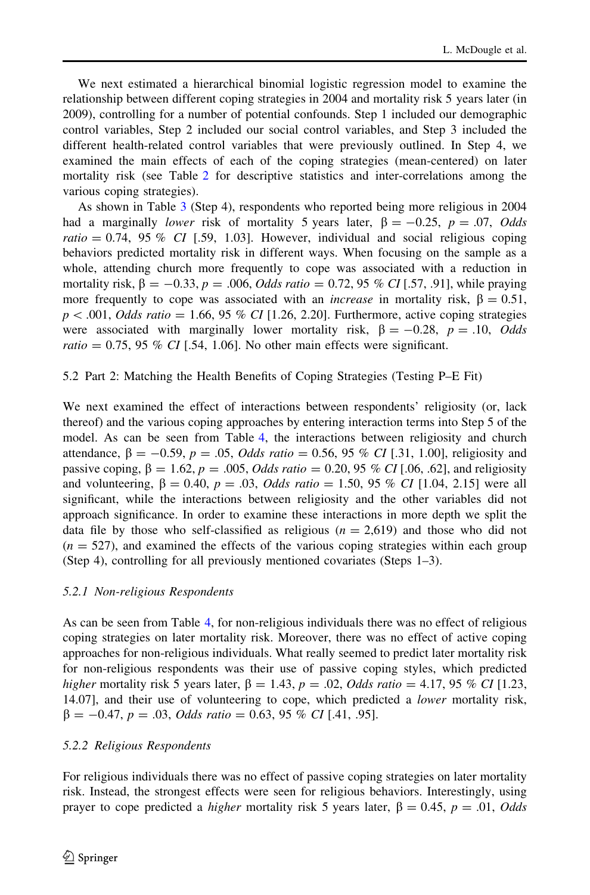We next estimated a hierarchical binomial logistic regression model to examine the relationship between different coping strategies in 2004 and mortality risk 5 years later (in 2009), controlling for a number of potential confounds. Step 1 included our demographic control variables, Step 2 included our social control variables, and Step 3 included the different health-related control variables that were previously outlined. In Step 4, we examined the main effects of each of the coping strategies (mean-centered) on later mortality risk (see Table [2](#page-10-0) for descriptive statistics and inter-correlations among the various coping strategies).

As shown in Table [3](#page-11-0) (Step 4), respondents who reported being more religious in 2004 had a marginally *lower* risk of mortality 5 years later,  $\beta = -0.25$ ,  $p = .07$ , *Odds* ratio  $= 0.74$ , 95 % CI [.59, 1.03]. However, individual and social religious coping behaviors predicted mortality risk in different ways. When focusing on the sample as a whole, attending church more frequently to cope was associated with a reduction in mortality risk,  $\beta = -0.33$ ,  $p = .006$ , *Odds ratio* = 0.72, 95 % *CI* [.57, .91], while praying more frequently to cope was associated with an *increase* in mortality risk,  $\beta = 0.51$ ,  $p\lt 0.001$ , Odds ratio = 1.66, 95 % CI [1.26, 2.20]. Furthermore, active coping strategies were associated with marginally lower mortality risk,  $\beta = -0.28$ ,  $p = .10$ , *Odds* ratio = 0.75, 95 % CI [.54, 1.06]. No other main effects were significant.

# 5.2 Part 2: Matching the Health Benefits of Coping Strategies (Testing P–E Fit)

We next examined the effect of interactions between respondents' religiosity (or, lack thereof) and the various coping approaches by entering interaction terms into Step 5 of the model. As can be seen from Table [4](#page-12-0), the interactions between religiosity and church attendance,  $\beta = -0.59$ ,  $p = .05$ , *Odds ratio* = 0.56, 95 % *CI* [.31, 1.00], religiosity and passive coping,  $\beta = 1.62$ ,  $p = .005$ , *Odds ratio* = 0.20, 95 % CI [.06, .62], and religiosity and volunteering,  $\beta = 0.40$ ,  $p = .03$ , *Odds ratio* = 1.50, 95 % *CI* [1.04, 2.15] were all significant, while the interactions between religiosity and the other variables did not approach significance. In order to examine these interactions in more depth we split the data file by those who self-classified as religious  $(n = 2.619)$  and those who did not  $(n = 527)$ , and examined the effects of the various coping strategies within each group (Step 4), controlling for all previously mentioned covariates (Steps 1–3).

# 5.2.1 Non-religious Respondents

As can be seen from Table [4](#page-12-0), for non-religious individuals there was no effect of religious coping strategies on later mortality risk. Moreover, there was no effect of active coping approaches for non-religious individuals. What really seemed to predict later mortality risk for non-religious respondents was their use of passive coping styles, which predicted higher mortality risk 5 years later,  $\beta = 1.43$ ,  $p = .02$ , *Odds ratio* = 4.17, 95 % *CI* [1.23, 14.07], and their use of volunteering to cope, which predicted a lower mortality risk,  $\beta = -0.47, p = .03, Odds ratio = 0.63, 95\% CI [.41, .95].$ 

# 5.2.2 Religious Respondents

For religious individuals there was no effect of passive coping strategies on later mortality risk. Instead, the strongest effects were seen for religious behaviors. Interestingly, using prayer to cope predicted a *higher* mortality risk 5 years later,  $\beta = 0.45$ ,  $p = .01$ , *Odds*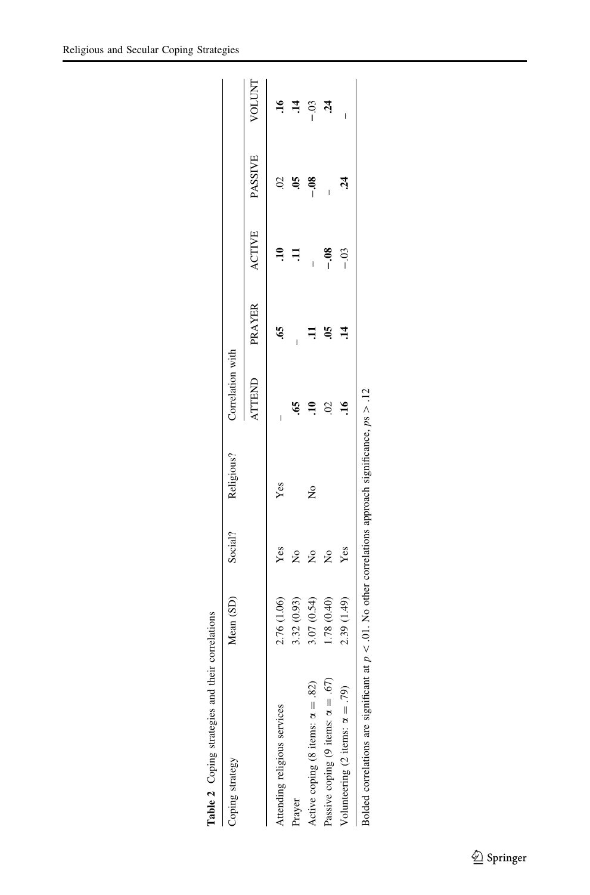<span id="page-10-0"></span>

| Coping strategy                                                                                           | Mean (SD)   | Social? | Religious? | Correlation with |               |               |         |                      |
|-----------------------------------------------------------------------------------------------------------|-------------|---------|------------|------------------|---------------|---------------|---------|----------------------|
|                                                                                                           |             |         |            | <b>ATTEND</b>    | <b>PRAYER</b> | <b>ACTIVE</b> | PASSIVE | <b><i>VOLUNT</i></b> |
| Attending religious services                                                                              | 2.76 (1.06) | Yes     | Yes        | I                | S             |               |         |                      |
| Prayer                                                                                                    | 3.32(0.93)  | ž       |            | Ś,               |               |               |         |                      |
| Active coping (8 items: $\alpha = .82$ )                                                                  | 3.07 (0.54) | Ş       | ž          |                  |               |               | $-0.8$  |                      |
| Passive coping (9 items: $\alpha = .67$ )                                                                 | 1.78 (0.40) | ż       |            |                  |               |               |         |                      |
| Volunteering (2 items: $\alpha = .79$ )                                                                   | 2.39 (1.49) | Yes     |            | $\frac{6}{1}$    |               |               | Ą       |                      |
| Bolded correlations are significant at $p < 01$ . No other correlations approach significance, $p_s > 12$ |             |         |            |                  |               |               |         |                      |

Table 2 Coping strategies and their correlations

Table 2 Coping strategies and their correlations

| l<br>j                    |
|---------------------------|
|                           |
|                           |
| $\ddot{\phantom{0}}$      |
| $-$ contribution $\sim$   |
|                           |
|                           |
|                           |
|                           |
|                           |
| l                         |
| i<br>í                    |
|                           |
|                           |
|                           |
| l                         |
|                           |
|                           |
|                           |
|                           |
|                           |
|                           |
|                           |
|                           |
|                           |
|                           |
| j                         |
|                           |
| so or or out in one of or |
| i<br>I                    |
|                           |
|                           |
|                           |
|                           |
|                           |
|                           |
| ś                         |
| ì                         |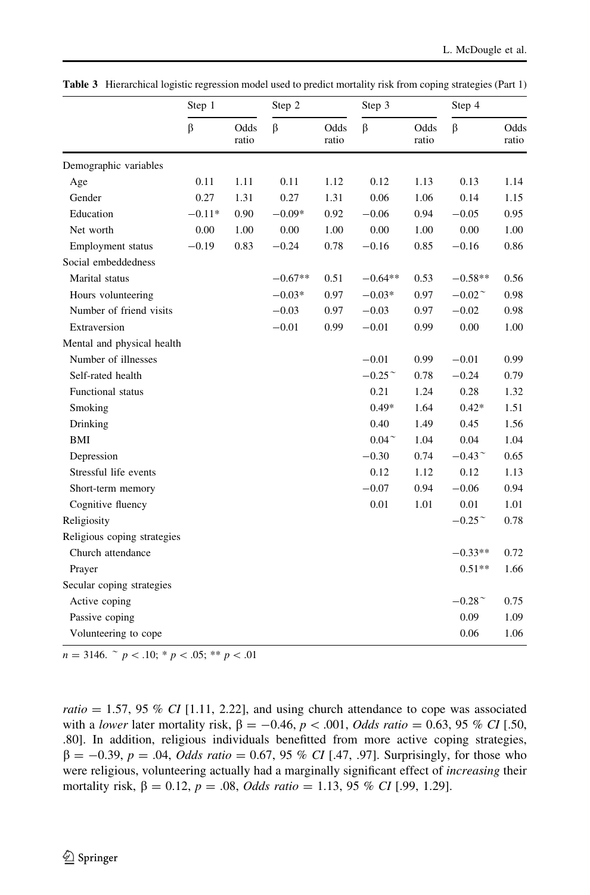|                             | Step 1   |               | Step 2    |               | Step 3         |               | Step 4         |               |
|-----------------------------|----------|---------------|-----------|---------------|----------------|---------------|----------------|---------------|
|                             | $\beta$  | Odds<br>ratio | $\beta$   | Odds<br>ratio | $\beta$        | Odds<br>ratio | $\beta$        | Odds<br>ratio |
| Demographic variables       |          |               |           |               |                |               |                |               |
| Age                         | 0.11     | 1.11          | 0.11      | 1.12          | 0.12           | 1.13          | 0.13           | 1.14          |
| Gender                      | 0.27     | 1.31          | 0.27      | 1.31          | 0.06           | 1.06          | 0.14           | 1.15          |
| Education                   | $-0.11*$ | 0.90          | $-0.09*$  | 0.92          | $-0.06$        | 0.94          | $-0.05$        | 0.95          |
| Net worth                   | 0.00     | 1.00          | 0.00      | 1.00          | 0.00           | 1.00          | 0.00           | 1.00          |
| Employment status           | $-0.19$  | 0.83          | $-0.24$   | 0.78          | $-0.16$        | 0.85          | $-0.16$        | 0.86          |
| Social embeddedness         |          |               |           |               |                |               |                |               |
| Marital status              |          |               | $-0.67**$ | 0.51          | $-0.64**$      | 0.53          | $-0.58**$      | 0.56          |
| Hours volunteering          |          |               | $-0.03*$  | 0.97          | $-0.03*$       | 0.97          | $-0.02^{\sim}$ | 0.98          |
| Number of friend visits     |          |               | $-0.03$   | 0.97          | $-0.03$        | 0.97          | $-0.02$        | 0.98          |
| Extraversion                |          |               | $-0.01$   | 0.99          | $-0.01$        | 0.99          | 0.00           | 1.00          |
| Mental and physical health  |          |               |           |               |                |               |                |               |
| Number of illnesses         |          |               |           |               | $-0.01$        | 0.99          | $-0.01$        | 0.99          |
| Self-rated health           |          |               |           |               | $-0.25^{\sim}$ | 0.78          | $-0.24$        | 0.79          |
| Functional status           |          |               |           |               | 0.21           | 1.24          | 0.28           | 1.32          |
| Smoking                     |          |               |           |               | $0.49*$        | 1.64          | $0.42*$        | 1.51          |
| Drinking                    |          |               |           |               | 0.40           | 1.49          | 0.45           | 1.56          |
| <b>BMI</b>                  |          |               |           |               | $0.04\,^\sim$  | 1.04          | 0.04           | 1.04          |
| Depression                  |          |               |           |               | $-0.30$        | 0.74          | $-0.43^{\sim}$ | 0.65          |
| Stressful life events       |          |               |           |               | 0.12           | 1.12          | 0.12           | 1.13          |
| Short-term memory           |          |               |           |               | $-0.07$        | 0.94          | $-0.06$        | 0.94          |
| Cognitive fluency           |          |               |           |               | 0.01           | 1.01          | 0.01           | 1.01          |
| Religiosity                 |          |               |           |               |                |               | $-0.25^{\sim}$ | 0.78          |
| Religious coping strategies |          |               |           |               |                |               |                |               |
| Church attendance           |          |               |           |               |                |               | $-0.33**$      | 0.72          |
| Prayer                      |          |               |           |               |                |               | $0.51**$       | 1.66          |
| Secular coping strategies   |          |               |           |               |                |               |                |               |
| Active coping               |          |               |           |               |                |               | $-0.28^{\sim}$ | 0.75          |
| Passive coping              |          |               |           |               |                |               | 0.09           | 1.09          |
| Volunteering to cope        |          |               |           |               |                |               | 0.06           | 1.06          |

<span id="page-11-0"></span>Table 3 Hierarchical logistic regression model used to predict mortality risk from coping strategies (Part 1)

 $n = 3146.$   $\degree$   $p \lt .10$ ;  $\degree$   $p \lt .05$ ;  $\degree$   $\degree$   $p \lt .01$ 

ratio = 1.57, 95 % CI [1.11, 2.22], and using church attendance to cope was associated with a lower later mortality risk,  $\beta = -0.46$ ,  $p < .001$ , *Odds ratio* = 0.63, 95 % CI [.50, .80]. In addition, religious individuals benefitted from more active coping strategies,  $\beta = -0.39, p = .04, Odds \text{ ratio} = 0.67, 95\% \text{ CI}$  [.47, .97]. Surprisingly, for those who were religious, volunteering actually had a marginally significant effect of *increasing* their mortality risk,  $\beta = 0.12$ ,  $p = .08$ , *Odds ratio* = 1.13, 95 % *CI* [.99, 1.29].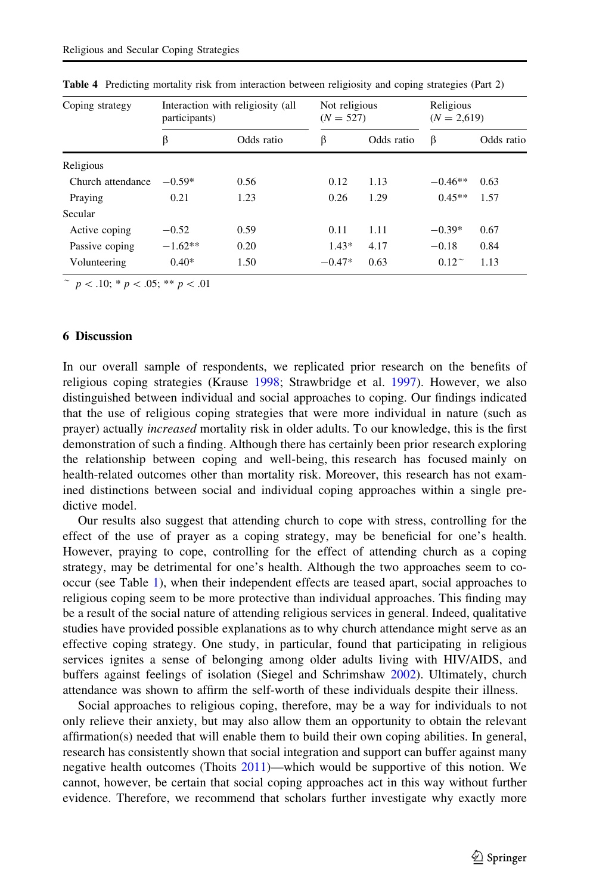| Coping strategy   | Interaction with religiosity (all<br>participants) |            | Not religious<br>$(N = 527)$ |            | Religious<br>$(N = 2,619)$ |            |
|-------------------|----------------------------------------------------|------------|------------------------------|------------|----------------------------|------------|
|                   | β                                                  | Odds ratio | β                            | Odds ratio | β                          | Odds ratio |
| Religious         |                                                    |            |                              |            |                            |            |
| Church attendance | $-0.59*$                                           | 0.56       | 0.12                         | 1.13       | $-0.46**$                  | 0.63       |
| Praying           | 0.21                                               | 1.23       | 0.26                         | 1.29       | $0.45**$                   | 1.57       |
| Secular           |                                                    |            |                              |            |                            |            |
| Active coping     | $-0.52$                                            | 0.59       | 0.11                         | 1.11       | $-0.39*$                   | 0.67       |
| Passive coping    | $-1.62**$                                          | 0.20       | $1.43*$                      | 4.17       | $-0.18$                    | 0.84       |
| Volunteering      | $0.40*$                                            | 1.50       | $-0.47*$                     | 0.63       | $0.12^{\sim}$              | 1.13       |

<span id="page-12-0"></span>Table 4 Predicting mortality risk from interaction between religiosity and coping strategies (Part 2)

 $p < .10; * p < .05; ** p < .01$ 

# 6 Discussion

In our overall sample of respondents, we replicated prior research on the benefits of religious coping strategies (Krause [1998](#page-16-0); Strawbridge et al. [1997](#page-17-0)). However, we also distinguished between individual and social approaches to coping. Our findings indicated that the use of religious coping strategies that were more individual in nature (such as prayer) actually increased mortality risk in older adults. To our knowledge, this is the first demonstration of such a finding. Although there has certainly been prior research exploring the relationship between coping and well-being, this research has focused mainly on health-related outcomes other than mortality risk. Moreover, this research has not examined distinctions between social and individual coping approaches within a single predictive model

Our results also suggest that attending church to cope with stress, controlling for the effect of the use of prayer as a coping strategy, may be beneficial for one's health. However, praying to cope, controlling for the effect of attending church as a coping strategy, may be detrimental for one's health. Although the two approaches seem to cooccur (see Table [1\)](#page-8-0), when their independent effects are teased apart, social approaches to religious coping seem to be more protective than individual approaches. This finding may be a result of the social nature of attending religious services in general. Indeed, qualitative studies have provided possible explanations as to why church attendance might serve as an effective coping strategy. One study, in particular, found that participating in religious services ignites a sense of belonging among older adults living with HIV/AIDS, and buffers against feelings of isolation (Siegel and Schrimshaw [2002](#page-17-0)). Ultimately, church attendance was shown to affirm the self-worth of these individuals despite their illness.

Social approaches to religious coping, therefore, may be a way for individuals to not only relieve their anxiety, but may also allow them an opportunity to obtain the relevant affirmation(s) needed that will enable them to build their own coping abilities. In general, research has consistently shown that social integration and support can buffer against many negative health outcomes (Thoits [2011\)](#page-17-0)—which would be supportive of this notion. We cannot, however, be certain that social coping approaches act in this way without further evidence. Therefore, we recommend that scholars further investigate why exactly more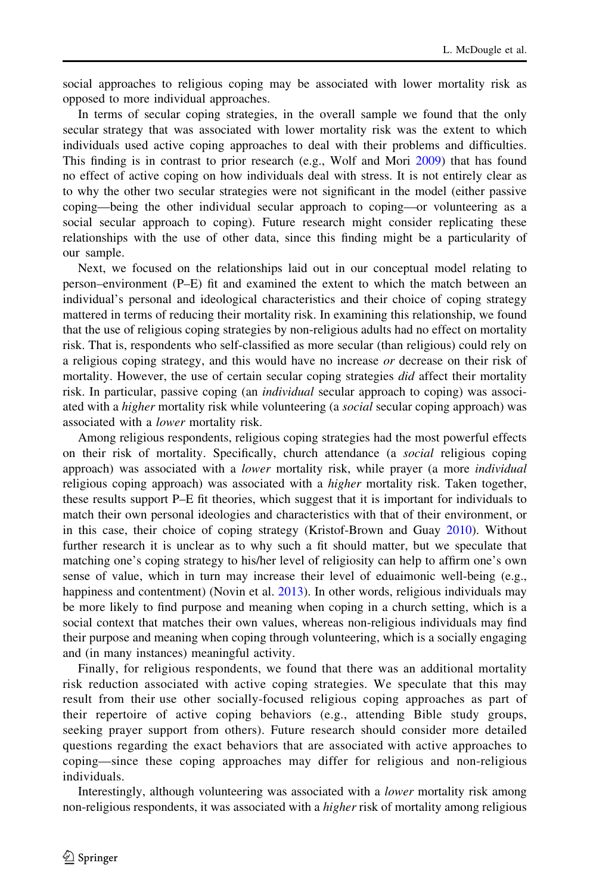social approaches to religious coping may be associated with lower mortality risk as opposed to more individual approaches.

In terms of secular coping strategies, in the overall sample we found that the only secular strategy that was associated with lower mortality risk was the extent to which individuals used active coping approaches to deal with their problems and difficulties. This finding is in contrast to prior research (e.g., Wolf and Mori [2009\)](#page-17-0) that has found no effect of active coping on how individuals deal with stress. It is not entirely clear as to why the other two secular strategies were not significant in the model (either passive coping—being the other individual secular approach to coping—or volunteering as a social secular approach to coping). Future research might consider replicating these relationships with the use of other data, since this finding might be a particularity of our sample.

Next, we focused on the relationships laid out in our conceptual model relating to person–environment (P–E) fit and examined the extent to which the match between an individual's personal and ideological characteristics and their choice of coping strategy mattered in terms of reducing their mortality risk. In examining this relationship, we found that the use of religious coping strategies by non-religious adults had no effect on mortality risk. That is, respondents who self-classified as more secular (than religious) could rely on a religious coping strategy, and this would have no increase or decrease on their risk of mortality. However, the use of certain secular coping strategies did affect their mortality risk. In particular, passive coping (an individual secular approach to coping) was associated with a *higher* mortality risk while volunteering (a *social* secular coping approach) was associated with a lower mortality risk.

Among religious respondents, religious coping strategies had the most powerful effects on their risk of mortality. Specifically, church attendance (a social religious coping approach) was associated with a *lower* mortality risk, while prayer (a more *individual* religious coping approach) was associated with a *higher* mortality risk. Taken together, these results support P–E fit theories, which suggest that it is important for individuals to match their own personal ideologies and characteristics with that of their environment, or in this case, their choice of coping strategy (Kristof-Brown and Guay [2010\)](#page-16-0). Without further research it is unclear as to why such a fit should matter, but we speculate that matching one's coping strategy to his/her level of religiosity can help to affirm one's own sense of value, which in turn may increase their level of eduaimonic well-being (e.g., happiness and contentment) (Novin et al. [2013](#page-17-0)). In other words, religious individuals may be more likely to find purpose and meaning when coping in a church setting, which is a social context that matches their own values, whereas non-religious individuals may find their purpose and meaning when coping through volunteering, which is a socially engaging and (in many instances) meaningful activity.

Finally, for religious respondents, we found that there was an additional mortality risk reduction associated with active coping strategies. We speculate that this may result from their use other socially-focused religious coping approaches as part of their repertoire of active coping behaviors (e.g., attending Bible study groups, seeking prayer support from others). Future research should consider more detailed questions regarding the exact behaviors that are associated with active approaches to coping—since these coping approaches may differ for religious and non-religious individuals.

Interestingly, although volunteering was associated with a lower mortality risk among non-religious respondents, it was associated with a *higher* risk of mortality among religious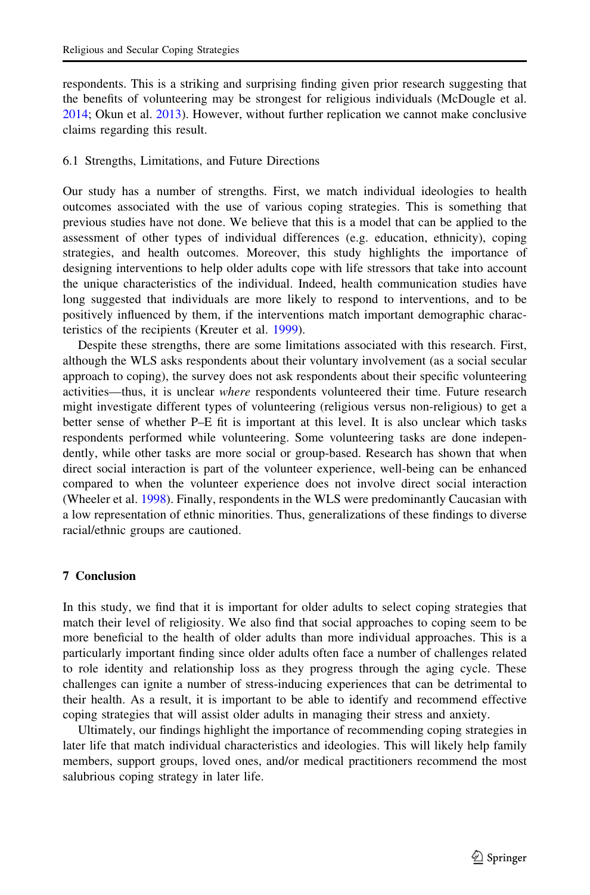respondents. This is a striking and surprising finding given prior research suggesting that the benefits of volunteering may be strongest for religious individuals (McDougle et al. [2014;](#page-16-0) Okun et al. [2013](#page-17-0)). However, without further replication we cannot make conclusive claims regarding this result.

#### 6.1 Strengths, Limitations, and Future Directions

Our study has a number of strengths. First, we match individual ideologies to health outcomes associated with the use of various coping strategies. This is something that previous studies have not done. We believe that this is a model that can be applied to the assessment of other types of individual differences (e.g. education, ethnicity), coping strategies, and health outcomes. Moreover, this study highlights the importance of designing interventions to help older adults cope with life stressors that take into account the unique characteristics of the individual. Indeed, health communication studies have long suggested that individuals are more likely to respond to interventions, and to be positively influenced by them, if the interventions match important demographic characteristics of the recipients (Kreuter et al. [1999](#page-16-0)).

Despite these strengths, there are some limitations associated with this research. First, although the WLS asks respondents about their voluntary involvement (as a social secular approach to coping), the survey does not ask respondents about their specific volunteering activities—thus, it is unclear where respondents volunteered their time. Future research might investigate different types of volunteering (religious versus non-religious) to get a better sense of whether P–E fit is important at this level. It is also unclear which tasks respondents performed while volunteering. Some volunteering tasks are done independently, while other tasks are more social or group-based. Research has shown that when direct social interaction is part of the volunteer experience, well-being can be enhanced compared to when the volunteer experience does not involve direct social interaction (Wheeler et al. [1998\)](#page-17-0). Finally, respondents in the WLS were predominantly Caucasian with a low representation of ethnic minorities. Thus, generalizations of these findings to diverse racial/ethnic groups are cautioned.

## 7 Conclusion

In this study, we find that it is important for older adults to select coping strategies that match their level of religiosity. We also find that social approaches to coping seem to be more beneficial to the health of older adults than more individual approaches. This is a particularly important finding since older adults often face a number of challenges related to role identity and relationship loss as they progress through the aging cycle. These challenges can ignite a number of stress-inducing experiences that can be detrimental to their health. As a result, it is important to be able to identify and recommend effective coping strategies that will assist older adults in managing their stress and anxiety.

Ultimately, our findings highlight the importance of recommending coping strategies in later life that match individual characteristics and ideologies. This will likely help family members, support groups, loved ones, and/or medical practitioners recommend the most salubrious coping strategy in later life.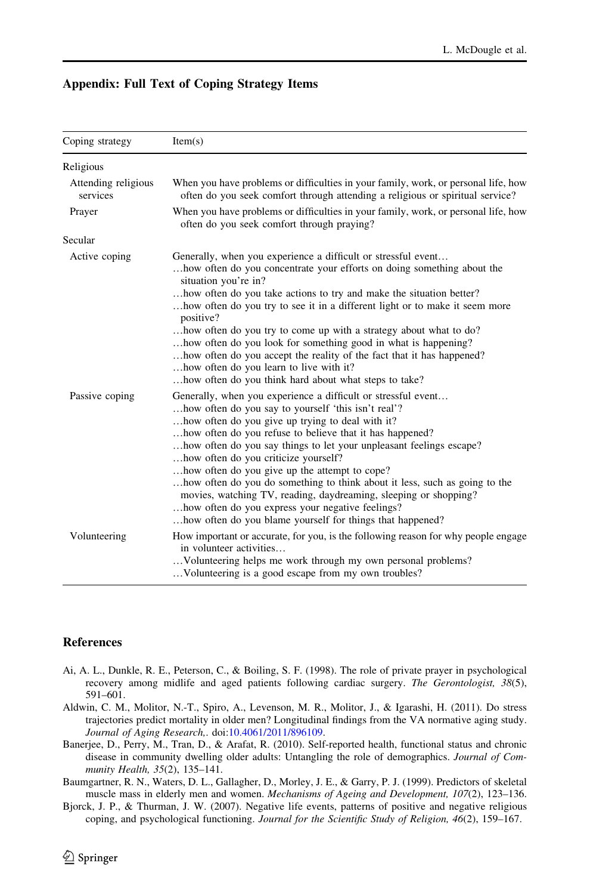| Coping strategy                 | Item(s)                                                                                                                                                                                                                                                                                                                                                                                                                                                                                                                                                                                                                                                                 |
|---------------------------------|-------------------------------------------------------------------------------------------------------------------------------------------------------------------------------------------------------------------------------------------------------------------------------------------------------------------------------------------------------------------------------------------------------------------------------------------------------------------------------------------------------------------------------------------------------------------------------------------------------------------------------------------------------------------------|
| Religious                       |                                                                                                                                                                                                                                                                                                                                                                                                                                                                                                                                                                                                                                                                         |
| Attending religious<br>services | When you have problems or difficulties in your family, work, or personal life, how<br>often do you seek comfort through attending a religious or spiritual service?                                                                                                                                                                                                                                                                                                                                                                                                                                                                                                     |
| Prayer                          | When you have problems or difficulties in your family, work, or personal life, how<br>often do you seek comfort through praying?                                                                                                                                                                                                                                                                                                                                                                                                                                                                                                                                        |
| Secular                         |                                                                                                                                                                                                                                                                                                                                                                                                                                                                                                                                                                                                                                                                         |
| Active coping                   | Generally, when you experience a difficult or stressful event<br>how often do you concentrate your efforts on doing something about the<br>situation you're in?<br>how often do you take actions to try and make the situation better?<br>how often do you try to see it in a different light or to make it seem more<br>positive?<br>how often do you try to come up with a strategy about what to do?<br>how often do you look for something good in what is happening?<br>how often do you accept the reality of the fact that it has happened?<br>how often do you learn to live with it?<br>how often do you think hard about what steps to take?                  |
| Passive coping                  | Generally, when you experience a difficult or stressful event<br>how often do you say to yourself 'this isn't real'?<br>how often do you give up trying to deal with it?<br>how often do you refuse to believe that it has happened?<br>how often do you say things to let your unpleasant feelings escape?<br>how often do you criticize yourself?<br>how often do you give up the attempt to cope?<br>how often do you do something to think about it less, such as going to the<br>movies, watching TV, reading, daydreaming, sleeping or shopping?<br>how often do you express your negative feelings?<br>how often do you blame yourself for things that happened? |
| Volunteering                    | How important or accurate, for you, is the following reason for why people engage<br>in volunteer activities<br>Volunteering helps me work through my own personal problems?<br>Volunteering is a good escape from my own troubles?                                                                                                                                                                                                                                                                                                                                                                                                                                     |

# <span id="page-15-0"></span>Appendix: Full Text of Coping Strategy Items

# References

- Ai, A. L., Dunkle, R. E., Peterson, C., & Boiling, S. F. (1998). The role of private prayer in psychological recovery among midlife and aged patients following cardiac surgery. The Gerontologist, 38(5), 591–601.
- Aldwin, C. M., Molitor, N.-T., Spiro, A., Levenson, M. R., Molitor, J., & Igarashi, H. (2011). Do stress trajectories predict mortality in older men? Longitudinal findings from the VA normative aging study. Journal of Aging Research,. doi[:10.4061/2011/896109](http://dx.doi.org/10.4061/2011/896109).
- Banerjee, D., Perry, M., Tran, D., & Arafat, R. (2010). Self-reported health, functional status and chronic disease in community dwelling older adults: Untangling the role of demographics. Journal of Community Health, 35(2), 135–141.

Baumgartner, R. N., Waters, D. L., Gallagher, D., Morley, J. E., & Garry, P. J. (1999). Predictors of skeletal muscle mass in elderly men and women. Mechanisms of Ageing and Development, 107(2), 123–136.

Bjorck, J. P., & Thurman, J. W. (2007). Negative life events, patterns of positive and negative religious coping, and psychological functioning. Journal for the Scientific Study of Religion, 46(2), 159–167.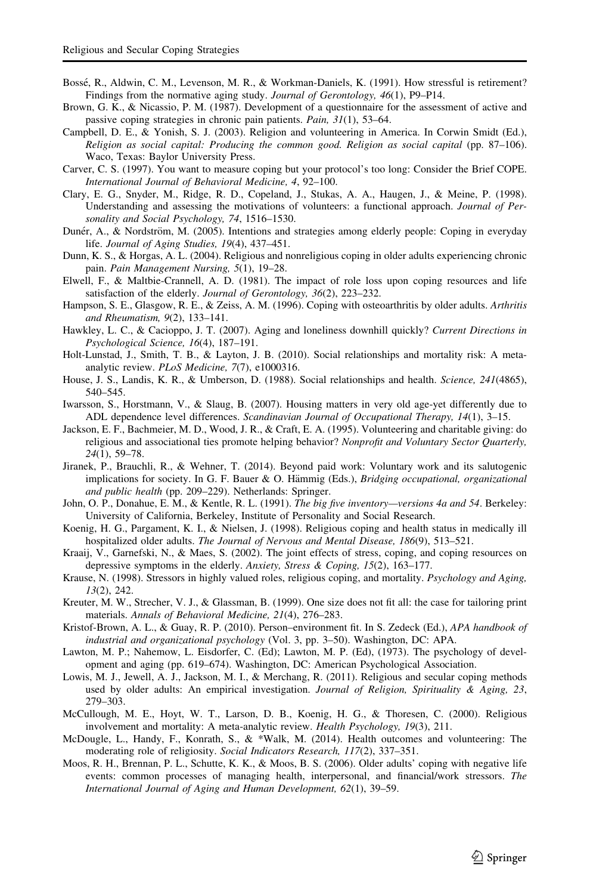- <span id="page-16-0"></span>Bossé, R., Aldwin, C. M., Levenson, M. R., & Workman-Daniels, K. (1991). How stressful is retirement? Findings from the normative aging study. Journal of Gerontology, 46(1), P9–P14.
- Brown, G. K., & Nicassio, P. M. (1987). Development of a questionnaire for the assessment of active and passive coping strategies in chronic pain patients. Pain, 31(1), 53–64.
- Campbell, D. E., & Yonish, S. J. (2003). Religion and volunteering in America. In Corwin Smidt (Ed.), Religion as social capital: Producing the common good. Religion as social capital (pp. 87–106). Waco, Texas: Baylor University Press.
- Carver, C. S. (1997). You want to measure coping but your protocol's too long: Consider the Brief COPE. International Journal of Behavioral Medicine, 4, 92–100.
- Clary, E. G., Snyder, M., Ridge, R. D., Copeland, J., Stukas, A. A., Haugen, J., & Meine, P. (1998). Understanding and assessing the motivations of volunteers: a functional approach. Journal of Personality and Social Psychology, 74, 1516–1530.
- Dunér, A., & Nordström, M. (2005). Intentions and strategies among elderly people: Coping in everyday life. Journal of Aging Studies, 19(4), 437–451.
- Dunn, K. S., & Horgas, A. L. (2004). Religious and nonreligious coping in older adults experiencing chronic pain. Pain Management Nursing, 5(1), 19–28.
- Elwell, F., & Maltbie-Crannell, A. D. (1981). The impact of role loss upon coping resources and life satisfaction of the elderly. Journal of Gerontology, 36(2), 223–232.
- Hampson, S. E., Glasgow, R. E., & Zeiss, A. M. (1996). Coping with osteoarthritis by older adults. Arthritis and Rheumatism, 9(2), 133–141.
- Hawkley, L. C., & Cacioppo, J. T. (2007). Aging and loneliness downhill quickly? Current Directions in Psychological Science, 16(4), 187–191.
- Holt-Lunstad, J., Smith, T. B., & Layton, J. B. (2010). Social relationships and mortality risk: A metaanalytic review. PLoS Medicine, 7(7), e1000316.
- House, J. S., Landis, K. R., & Umberson, D. (1988). Social relationships and health. Science, 241(4865), 540–545.
- Iwarsson, S., Horstmann, V., & Slaug, B. (2007). Housing matters in very old age-yet differently due to ADL dependence level differences. Scandinavian Journal of Occupational Therapy, 14(1), 3–15.
- Jackson, E. F., Bachmeier, M. D., Wood, J. R., & Craft, E. A. (1995). Volunteering and charitable giving: do religious and associational ties promote helping behavior? Nonprofit and Voluntary Sector Quarterly, 24(1), 59–78.
- Jiranek, P., Brauchli, R., & Wehner, T. (2014). Beyond paid work: Voluntary work and its salutogenic implications for society. In G. F. Bauer & O. Hämmig (Eds.), Bridging occupational, organizational and public health (pp. 209–229). Netherlands: Springer.
- John, O. P., Donahue, E. M., & Kentle, R. L. (1991). The big five inventory—versions 4a and 54. Berkeley: University of California, Berkeley, Institute of Personality and Social Research.
- Koenig, H. G., Pargament, K. I., & Nielsen, J. (1998). Religious coping and health status in medically ill hospitalized older adults. The Journal of Nervous and Mental Disease, 186(9), 513–521.
- Kraaij, V., Garnefski, N., & Maes, S. (2002). The joint effects of stress, coping, and coping resources on depressive symptoms in the elderly. Anxiety, Stress & Coping, 15(2), 163–177.
- Krause, N. (1998). Stressors in highly valued roles, religious coping, and mortality. Psychology and Aging, 13(2), 242.
- Kreuter, M. W., Strecher, V. J., & Glassman, B. (1999). One size does not fit all: the case for tailoring print materials. Annals of Behavioral Medicine, 21(4), 276–283.
- Kristof-Brown, A. L., & Guay, R. P. (2010). Person–environment fit. In S. Zedeck (Ed.), APA handbook of industrial and organizational psychology (Vol. 3, pp. 3–50). Washington, DC: APA.
- Lawton, M. P.; Nahemow, L. Eisdorfer, C. (Ed); Lawton, M. P. (Ed), (1973). The psychology of development and aging (pp. 619–674). Washington, DC: American Psychological Association.
- Lowis, M. J., Jewell, A. J., Jackson, M. I., & Merchang, R. (2011). Religious and secular coping methods used by older adults: An empirical investigation. Journal of Religion, Spirituality & Aging, 23, 279–303.
- McCullough, M. E., Hoyt, W. T., Larson, D. B., Koenig, H. G., & Thoresen, C. (2000). Religious involvement and mortality: A meta-analytic review. *Health Psychology*, 19(3), 211.
- McDougle, L., Handy, F., Konrath, S., & \*Walk, M. (2014). Health outcomes and volunteering: The moderating role of religiosity. Social Indicators Research, 117(2), 337–351.
- Moos, R. H., Brennan, P. L., Schutte, K. K., & Moos, B. S. (2006). Older adults' coping with negative life events: common processes of managing health, interpersonal, and financial/work stressors. The International Journal of Aging and Human Development, 62(1), 39–59.